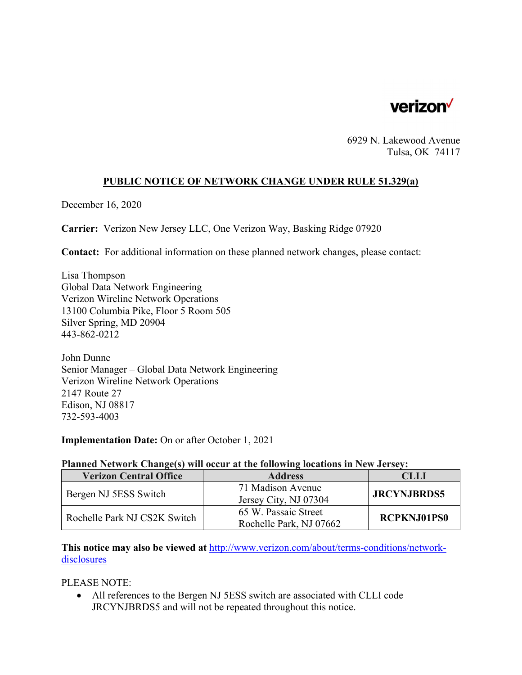

6929 N. Lakewood Avenue Tulsa, OK 74117

## **PUBLIC NOTICE OF NETWORK CHANGE UNDER RULE 51.329(a)**

December 16, 2020

**Carrier:** Verizon New Jersey LLC, One Verizon Way, Basking Ridge 07920

**Contact:** For additional information on these planned network changes, please contact:

Lisa Thompson Global Data Network Engineering Verizon Wireline Network Operations 13100 Columbia Pike, Floor 5 Room 505 Silver Spring, MD 20904 443-862-0212

John Dunne Senior Manager – Global Data Network Engineering Verizon Wireline Network Operations 2147 Route 27 Edison, NJ 08817 732-593-4003

**Implementation Date:** On or after October 1, 2021

## **Planned Network Change(s) will occur at the following locations in New Jersey:**

| <b>Verizon Central Office</b> | <b>Address</b>          | CLLI               |
|-------------------------------|-------------------------|--------------------|
| Bergen NJ 5ESS Switch         | 71 Madison Avenue       | <b>JRCYNJBRDS5</b> |
|                               | Jersey City, NJ 07304   |                    |
| Rochelle Park NJ CS2K Switch  | 65 W. Passaic Street    | <b>RCPKNJ01PS0</b> |
|                               | Rochelle Park, NJ 07662 |                    |

**This notice may also be viewed at** http://www.verizon.com/about/terms-conditions/networkdisclosures

PLEASE NOTE:

 All references to the Bergen NJ 5ESS switch are associated with CLLI code JRCYNJBRDS5 and will not be repeated throughout this notice.